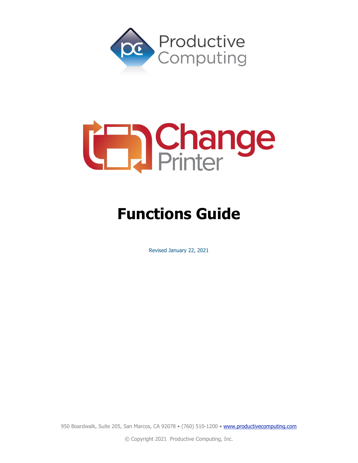

# **Cange**

## **Functions Guide**

Revised January 22, 2021

950 Boardwalk, Suite 205, San Marcos, CA 92078 · (760) 510-1200 · [www.productivecomputing.com](http://www.productivecomputing.com/)

© Copyright 2021 Productive Computing, Inc.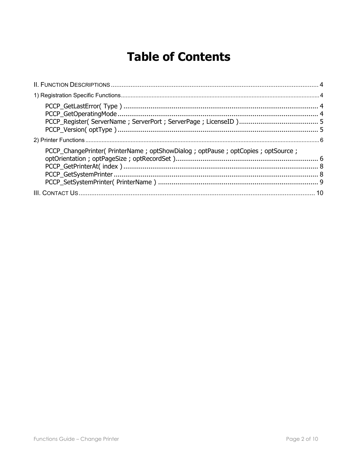### **Table of Contents**

| PCCP_ChangePrinter( PrinterName ; optShowDialog ; optPause ; optCopies ; optSource ; |  |
|--------------------------------------------------------------------------------------|--|
|                                                                                      |  |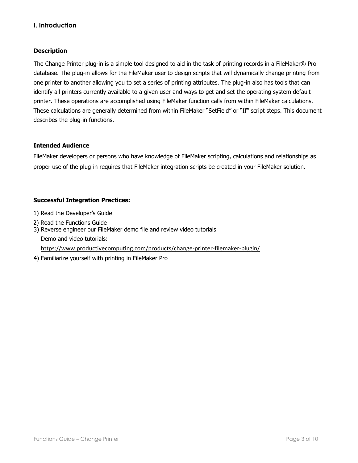#### **I. Introduction**

#### **Description**

The Change Printer plug-in is a simple tool designed to aid in the task of printing records in a FileMaker® Pro database. The plug-in allows for the FileMaker user to design scripts that will dynamically change printing from one printer to another allowing you to set a series of printing attributes. The plug-in also has tools that can identify all printers currently available to a given user and ways to get and set the operating system default printer. These operations are accomplished using FileMaker function calls from within FileMaker calculations. These calculations are generally determined from within FileMaker "SetField" or "If" script steps. This document describes the plug-in functions.

#### **Intended Audience**

FileMaker developers or persons who have knowledge of FileMaker scripting, calculations and relationships as proper use of the plug-in requires that FileMaker integration scripts be created in your FileMaker solution.

#### **Successful Integration Practices:**

- 1) Read the Developer's Guide
- 2) Read the Functions Guide

3) Reverse engineer our FileMaker demo file and review video tutorials Demo and video tutorials:

<https://www.productivecomputing.com/products/change-printer-filemaker-plugin/>

4) Familiarize yourself with printing in FileMaker Pro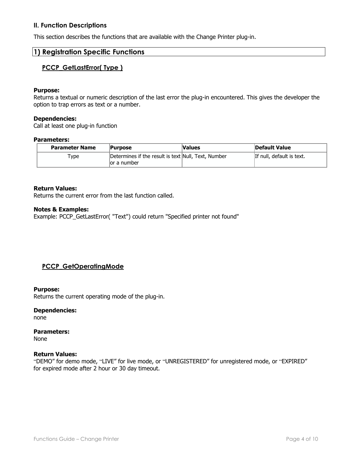#### <span id="page-3-0"></span>**II. Function Descriptions**

<span id="page-3-1"></span>This section describes the functions that are available with the Change Printer plug-in.

#### <span id="page-3-2"></span>**1) Registration Specific Functions**

#### **PCCP\_GetLastError( Type )**

#### **Purpose:**

Returns a textual or numeric description of the last error the plug-in encountered. This gives the developer the option to trap errors as text or a number.

#### **Dependencies:**

Call at least one plug-in function

#### **Parameters:**

| <b>Parameter Name</b> | <b>Purpose</b>                                                      | <b>Values</b> | <b>Default Value</b>      |
|-----------------------|---------------------------------------------------------------------|---------------|---------------------------|
| Type                  | Determines if the result is text Null, Text, Number<br>lor a number |               | If null, default is text. |

#### **Return Values:**

Returns the current error from the last function called.

#### **Notes & Examples:**

Example: PCCP\_GetLastError( "Text") could return "Specified printer not found"

#### <span id="page-3-3"></span>**PCCP\_GetOperatingMode**

#### **Purpose:**

Returns the current operating mode of the plug-in.

#### **Dependencies:**

none

#### **Parameters:**

None

#### **Return Values:**

"DEMO" for demo mode, "LIVE" for live mode, or "UNREGISTERED" for unregistered mode, or "EXPIRED" for expired mode after 2 hour or 30 day timeout.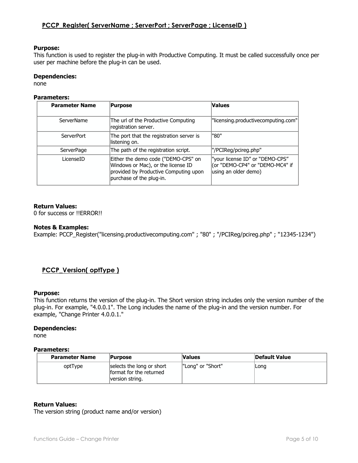#### <span id="page-4-0"></span>**PCCP\_Register( ServerName ; ServerPort ; ServerPage ; LicenseID )**

#### **Purpose:**

This function is used to register the plug-in with Productive Computing. It must be called successfully once per user per machine before the plug-in can be used.

#### **Dependencies:**

none

#### **Parameters:**

| <b>Parameter Name</b> | Purpose                                                                                                                                        | <b>Values</b>                                                                              |
|-----------------------|------------------------------------------------------------------------------------------------------------------------------------------------|--------------------------------------------------------------------------------------------|
| <b>ServerName</b>     | The url of the Productive Computing<br>registration server.                                                                                    | "licensing.productivecomputing.com"                                                        |
| ServerPort            | The port that the registration server is<br>llistening on.                                                                                     | "80"                                                                                       |
| <b>ServerPage</b>     | The path of the registration script.                                                                                                           | "/PCIReg/pcireg.php"                                                                       |
| LicenseID             | Either the demo code ("DEMO-CPS" on<br>Windows or Mac), or the license ID<br>provided by Productive Computing upon<br>purchase of the plug-in. | "your license ID" or "DEMO-CPS"<br>(or "DEMO-CP4" or "DEMO-MC4" if<br>using an older demo) |

#### **Return Values:**

0 for success or !!ERROR!!

#### **Notes & Examples:**

Example: PCCP\_Register("licensing.productivecomputing.com" ; "80" ; "/PCIReg/pcireg.php" ; "12345-1234")

#### <span id="page-4-1"></span>**PCCP\_Version( optType )**

#### **Purpose:**

This function returns the version of the plug-in. The Short version string includes only the version number of the plug-in. For example, "4.0.0.1". The Long includes the name of the plug-in and the version number. For example, "Change Printer 4.0.0.1."

#### **Dependencies:**

none

#### **Parameters:**

| <b>Parameter Name</b> | <b>Purpose</b>                                                          | <b>Values</b>     | Default Value |
|-----------------------|-------------------------------------------------------------------------|-------------------|---------------|
| optType               | selects the long or short<br>format for the returned<br>version string. | "Long" or "Short" | Long          |

#### **Return Values:**

The version string (product name and/or version)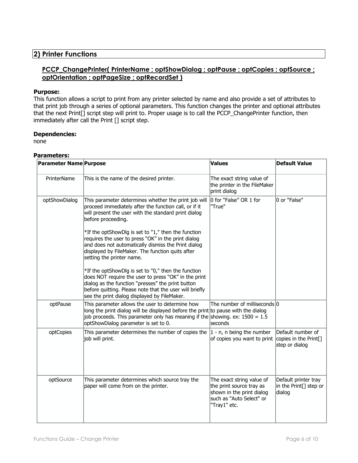#### <span id="page-5-1"></span><span id="page-5-0"></span>**2) Printer Functions**

#### **PCCP\_ChangePrinter( PrinterName ; optShowDialog ; optPause ; optCopies ; optSource ; optOrientation ; optPageSize ; optRecordSet )**

#### **Purpose:**

This function allows a script to print from any printer selected by name and also provide a set of attributes to that print job through a series of optional parameters. This function changes the printer and optional attributes that the next Print[] script step will print to. Proper usage is to call the PCCP\_ChangePrinter function, then immediately after call the Print [] script step.

#### **Dependencies:**

none

#### **Parameters:**

| <b>Parameter Name Purpose</b> |                                                                                                                                                                                                                                                                                                                                                                                                                                                   | <b>Values</b>                                                                                                                  | <b>Default Value</b>                                                 |
|-------------------------------|---------------------------------------------------------------------------------------------------------------------------------------------------------------------------------------------------------------------------------------------------------------------------------------------------------------------------------------------------------------------------------------------------------------------------------------------------|--------------------------------------------------------------------------------------------------------------------------------|----------------------------------------------------------------------|
| PrinterName                   | This is the name of the desired printer.                                                                                                                                                                                                                                                                                                                                                                                                          | The exact string value of<br>the printer in the FileMaker<br>print dialog                                                      |                                                                      |
| optShowDialog                 | This parameter determines whether the print job will<br>proceed immediately after the function call, or if it<br>will present the user with the standard print dialog<br>before proceeding.<br>*If the optShowDlg is set to "1," then the function<br>requires the user to press "OK" in the print dialog<br>and does not automatically dismiss the Print dialog<br>displayed by FileMaker. The function quits after<br>setting the printer name. | 0 for "False" OR 1 for<br>"True"                                                                                               | 0 or "False"                                                         |
|                               | *If the optShowDlg is set to "0," then the function<br>does NOT require the user to press "OK" in the print<br>dialog as the function "presses" the print button<br>before quitting. Please note that the user will briefly<br>see the print dialog displayed by FileMaker.                                                                                                                                                                       |                                                                                                                                |                                                                      |
| optPause                      | This parameter allows the user to determine how<br>long the print dialog will be displayed before the print to pause with the dialog<br>job proceeds. This parameter only has meaning if the showing. ex: $1500 = 1.5$<br>optShowDialog parameter is set to 0.                                                                                                                                                                                    | The number of milliseconds 0<br>seconds                                                                                        |                                                                      |
| optCopies                     | This parameter determines the number of copies the<br>job will print.                                                                                                                                                                                                                                                                                                                                                                             | $ 1 - n$ , n being the number<br>of copies you want to print                                                                   | Default number of<br>copies in the Print[]<br>step or dialog         |
| optSource                     | This parameter determines which source tray the<br>paper will come from on the printer.                                                                                                                                                                                                                                                                                                                                                           | The exact string value of<br>the print source tray as<br>shown in the print dialog<br>such as "Auto Select" or<br>"Tray1" etc. | Default printer tray<br>in the Print <sup>[]</sup> step or<br>dialog |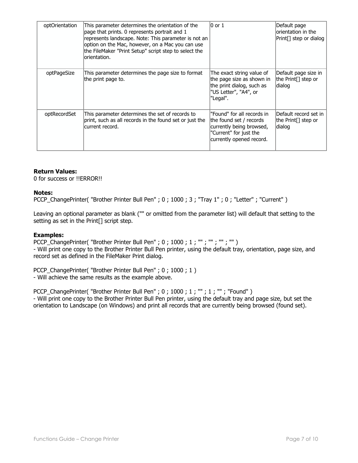| optOrientation | This parameter determines the orientation of the<br>page that prints. 0 represents portrait and 1<br>represents landscape. Note: This parameter is not an<br>option on the Mac, however, on a Mac you can use<br>the FileMaker "Print Setup" script step to select the<br>lorientation. | $0$ or $1$                                                                                                                              | Default page<br>lorientation in the<br>Print[] step or dialog     |
|----------------|-----------------------------------------------------------------------------------------------------------------------------------------------------------------------------------------------------------------------------------------------------------------------------------------|-----------------------------------------------------------------------------------------------------------------------------------------|-------------------------------------------------------------------|
| optPageSize    | This parameter determines the page size to format<br>the print page to.                                                                                                                                                                                                                 | The exact string value of<br>the page size as shown in<br>the print dialog, such as<br>"US Letter", "A4", or<br>"Legal".                | Default page size in<br>the Print <sup>[]</sup> step or<br>dialog |
| optRecordSet   | This parameter determines the set of records to<br>print, such as all records in the found set or just the<br>lcurrent record.                                                                                                                                                          | "Found" for all records in<br>the found set / records<br>currently being browsed,<br>"Current" for just the<br>currently opened record. | Default record set in<br> the Print[] step or<br>dialog           |

#### **Return Values:**

0 for success or !!ERROR!!

#### **Notes:**

PCCP\_ChangePrinter( "Brother Printer Bull Pen" ; 0 ; 1000 ; 3 ; "Tray 1" ; 0 ; "Letter" ; "Current" )

Leaving an optional parameter as blank ("" or omitted from the parameter list) will default that setting to the setting as set in the Print[] script step.

#### **Examples:**

PCCP ChangePrinter( "Brother Printer Bull Pen" ; 0 ; 1000 ; 1 ; "" ; "" ; "" ; "" )

- Will print one copy to the Brother Printer Bull Pen printer, using the default tray, orientation, page size, and record set as defined in the FileMaker Print dialog.

PCCP\_ChangePrinter( "Brother Printer Bull Pen" ; 0 ; 1000 ; 1 ) - Will achieve the same results as the example above.

<span id="page-6-0"></span>PCCP\_ChangePrinter( "Brother Printer Bull Pen" ; 0 ; 1000 ; 1 ; "" ; 1 ; "" ; "Found" ) - Will print one copy to the Brother Printer Bull Pen printer, using the default tray and page size, but set the orientation to Landscape (on Windows) and print all records that are currently being browsed (found set).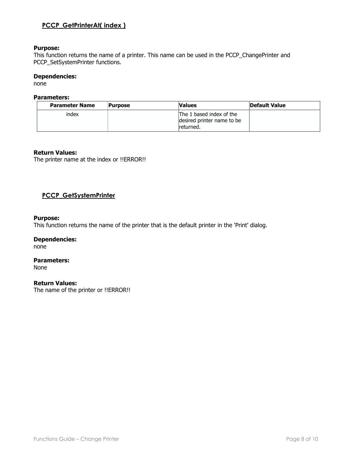#### **PCCP\_GetPrinterAt( index )**

#### **Purpose:**

This function returns the name of a printer. This name can be used in the PCCP\_ChangePrinter and PCCP\_SetSystemPrinter functions.

#### **Dependencies:**

none

#### **Parameters:**

| <b>Parameter Name</b> | <b>Purpose</b> | <b>Values</b>                                                       | <b>Default Value</b> |
|-----------------------|----------------|---------------------------------------------------------------------|----------------------|
| index                 |                | The 1 based index of the<br>desired printer name to be<br>returned. |                      |

#### **Return Values:**

The printer name at the index or !!ERROR!!

#### <span id="page-7-0"></span>**PCCP\_GetSystemPrinter**

#### **Purpose:**

This function returns the name of the printer that is the default printer in the 'Print' dialog.

#### **Dependencies:**

none

#### **Parameters:** None

#### **Return Values:**

<span id="page-7-1"></span>The name of the printer or !!ERROR!!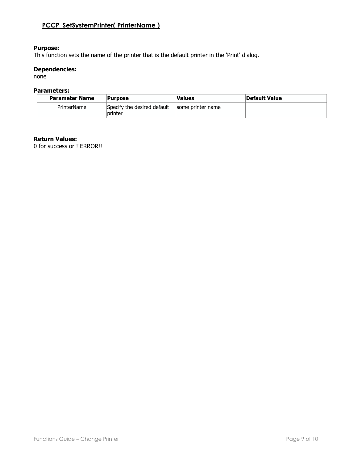#### **PCCP\_SetSystemPrinter( PrinterName )**

#### **Purpose:**

This function sets the name of the printer that is the default printer in the 'Print' dialog.

#### **Dependencies:**

none

#### **Parameters:**

| <b>Parameter Name</b> | <b>Purpose</b>                         | <b>Values</b>     | Default Value |
|-----------------------|----------------------------------------|-------------------|---------------|
| PrinterName           | Specify the desired default<br>printer | some printer name |               |

#### **Return Values:**

0 for success or !!ERROR!!